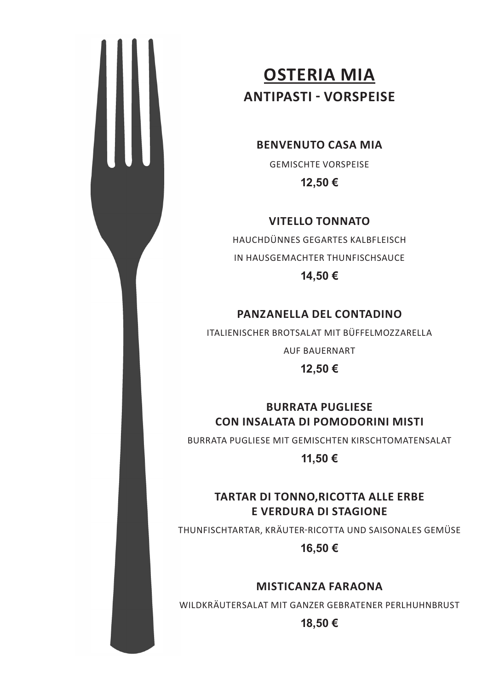

# **ANTIPASTI - VORSPEISE OSTERIA MIA ANTIPASTI - VORSPEISE**

#### **BENVENUTO CASA MIA**

GEMISCHTE VORSPEISE **14,50€ 12,50 €** 

#### **VITELLO TONNATO VITELLO TONNATO**

HAUCHDÜNNES GEGARTES KALBFLEISCH IN HAUCHDÜNNES GEGARTES KALBFLEISCH HAUSGEMACHTER THUNFISCHSAUCE IN HAUSGEMACHTER THUNFISCHSAUCE

**14,50€ 14,50 €** 

### **PANZANELLA DEL CONTADINO PANZANELLA DEL CONTADINO**

ITALIENISCHER BROTSALAT MIT BÜFFELMOZZARELLA

**12,50€**  AUF BAUERNART

**12,50 €**

**CON INSALATA DI POMODORINI MISTI CON INSALATA DI POMODORINI MISTI BURRATA PUGLIESE** 

**11,50€**  BURRATA PUGLIESE MIT GEMISCHTEN KIRSCHTOMATENSALAT

**11,50 €**

### **TARTAR DI TONNO,RICOTTA ALLE ERBE E VERDURA DI STAGIONE**

**16,50€**  THUNFISCHTARTAR, KRÄUTER-RICOTTA UND SAISONALES GEMÜSE

**16,50 €** 

#### **MISTICANZA FARAONA**

WILDKRÄUTERSALAT MIT GANZER GEBRATENER PERLHUHNBRUST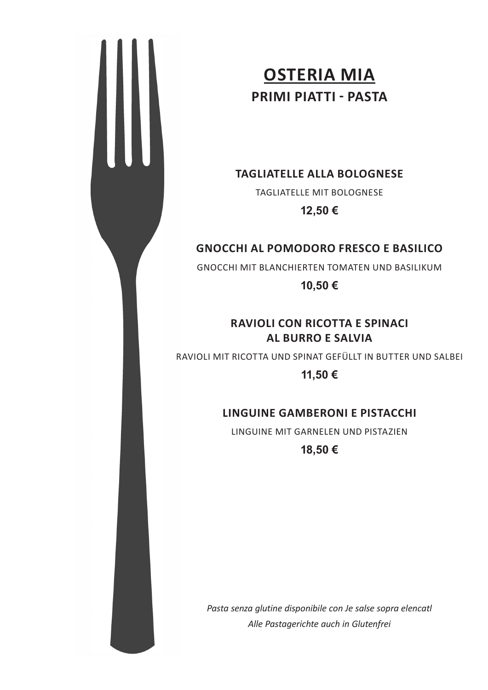

# **ANTIPASTI - VORSPEISE OSTERIA MIA PRIMI PIATTI - PASTA**

## **14,50€ TAGLIATELLE ALLA BOLOGNESE**

TAGLIATELLE MIT BOLOGNESE

**VITELLO TONNATO 12,50 €**

### **GNOCCHI AL POMODORO FRESCO E BASILICO**

**14,50€**  GNOCCHI MIT BLANCHIERTEN TOMATEN UND BASILIKUM

**10,50 €** 

#### **RAVIOLI CON RICOTTA E SPINACI 12,50€ AL BURRO E SALVIA**

RAVIOLI MIT RICOTTA UND SPINAT GEFÜLLT IN BUTTER UND SALBEI

**BURRATA PUGLIESE 11,50 €**

### **LINGUINE GAMBERONI E PISTACCHI**

**11,50€**  LINGUINE MIT GARNELEN UND PISTAZIEN

**18,50 €**

*Pasta senza glutine disponibile con Je salse sopra elencatl Alle Pastagerichte auch in Glutenfrei*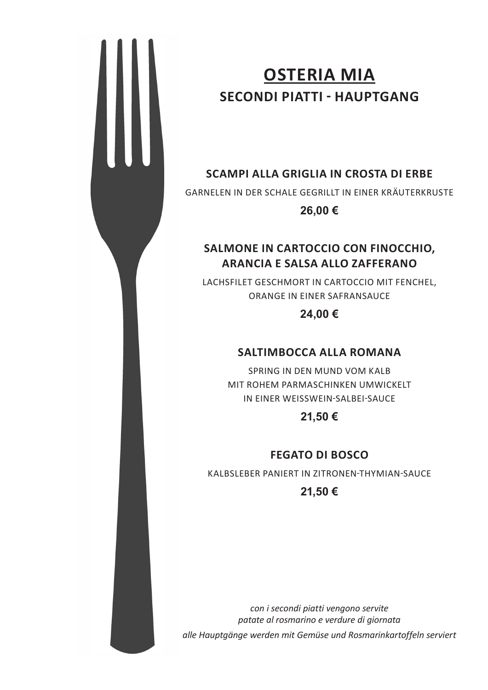# **ANTIPASTI - VORSPEISE OSTERIA MIA SECONDI PIATTI - HAUPTGANG**

# **14,50€ SCAMPI ALLA GRIGLIA IN CROSTA DI ERBE**

GARNELEN IN DER SCHALE GEGRILLT IN EINER KRÄUTERKRUSTE

**VITELLO TONNATO 26,00 €** 

#### **SALMONE IN CARTOCCIO CON FINOCCHIO, 14,50€ ARANCIA E SALSA ALLO ZAFFERANO**

LACHSFILET GESCHMORT IN CARTOCCIO MIT FENCHEL, ORANGE IN EINER SAFRANSAUCE

**24,00 €** 

### **SALTIMBOCCA ALLA ROMANA**

**BURRATA PUGLIESE**  MIT ROHEM PARMASCHINKEN UMWICKELT IN EINER WEISSWEIN-SALBEI-SAUCE SPRING IN DEN MUND VOM KALB

**21,50 €** 

#### **FEGATO DI BOSCO**

KALBSLEBER PANIERT IN ZITRONEN-THYMIAN-SAUCE

**21,50 €** 

*con i secondi piatti vengono servite patate al rosmarino e verdure di giornata alle Hauptgänge werden mit Gemüse und Rosmarinkartoffeln serviert*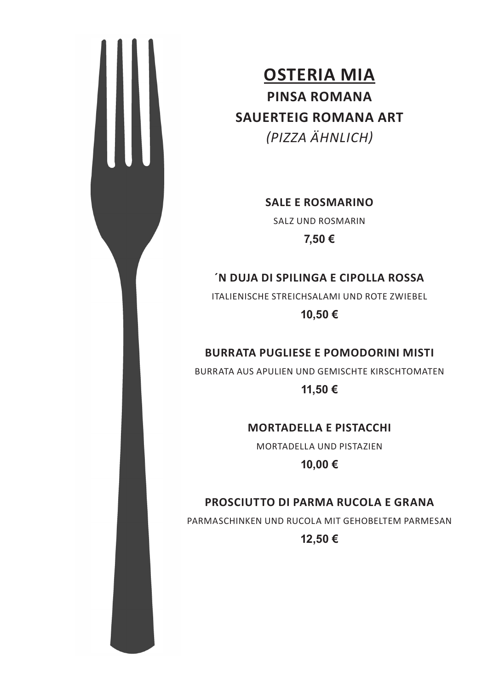

**SALE E ROSMARINO** 

**SALZ UND ROSMARIN** 

**7,50 €** 

### **14,50€ ´N DUJA DI SPILINGA E CIPOLLA ROSSA**

ITALIENISCHE STREICHSALAMI UND ROTE ZWIEBEL

**10,50 €** 

### **12,50€ BURRATA PUGLIESE E POMODORINI MISTI**

BURRATA AUS APULIEN UND GEMISCHTE KIRSCHTOMATEN

**11,50 € CON INSALATA DI POMODORINI MISTI** 

#### **MORTADELLA E PISTACCHI**

MORTADELLA UND PISTAZIEN

**10,00 €**

### PROSCIUTTO DI PARMA RUCOLA E GRANA

**16,50€**  PARMASCHINKEN UND RUCOLA MIT GEHOBELTEM PARMESAN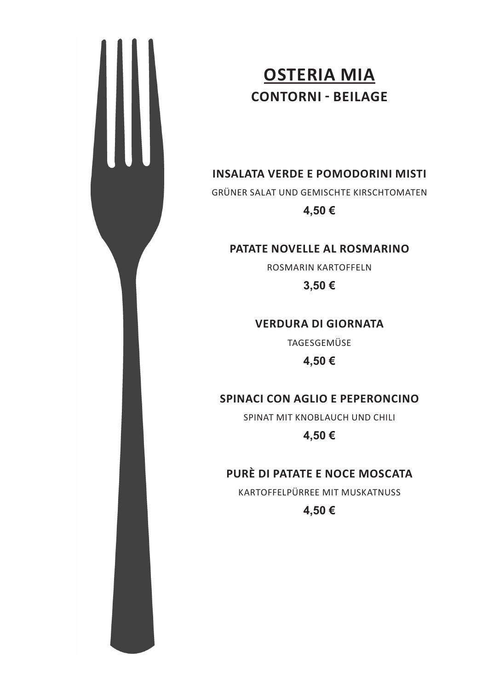

# **ANTIPASTI - VORSPEISE OSTERIA MIA CONTORNI - BEILAGE**

**14,50€ INSALATA VERDE E POMODORINI MISTI** 

GRÜNER SALAT UND GEMISCHTE KIRSCHTOMATEN

**VITELLO TONNATO 4,50 €** 

#### PATATE NOVELLE AL ROSMARINO

**14,50€**  ROSMARIN KARTOFFELN

**3,50 €** 

**VERDURA DI GIORNATA** 

**12,50€**  TAGESGEMÜSE

**4,50 €**

### **CON INSALATA DI POMODORINI MISTI SPINACI CON AGLIO E PEPERONCINO**

SPINAT MIT KNOBLAUCH UND CHILI

**11,50€ 4,50 €**

### PURÈ DI PATATE E NOCE MOSCATA

**E VERDURA DI STAGIONE**  KARTOFFELPÜRREE MIT MUSKATNUSS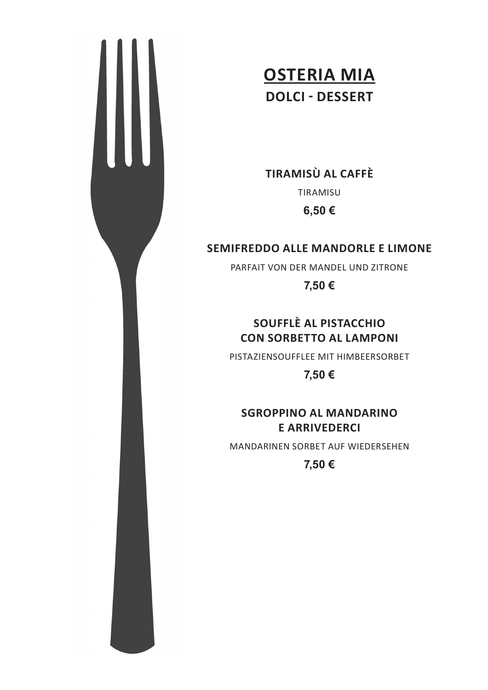

W

**14,50€ TIRAMISÙ AL CAFFÈ** 

TIRAMISU

**VITELLO TONNATO 6,50 €**

#### **SEMIFREDDO ALLE MANDORLE E LIMONE**

**14,50€**  PARFAIT VON DER MANDEL UND ZITRONE

**7,50 €**

#### SOUFFLÈ AL PISTACCHIO **CON SORBETTO AL LAMPONI**

PISTAZIENSOUFFLEE MIT HIMBEERSORBET

**BURRATA PUGLIESE 7,50 €**

#### **SGROPPINO AL MANDARINO E ARRIVEDERCI**

MANDARINEN SORBET AUF WIEDERSEHEN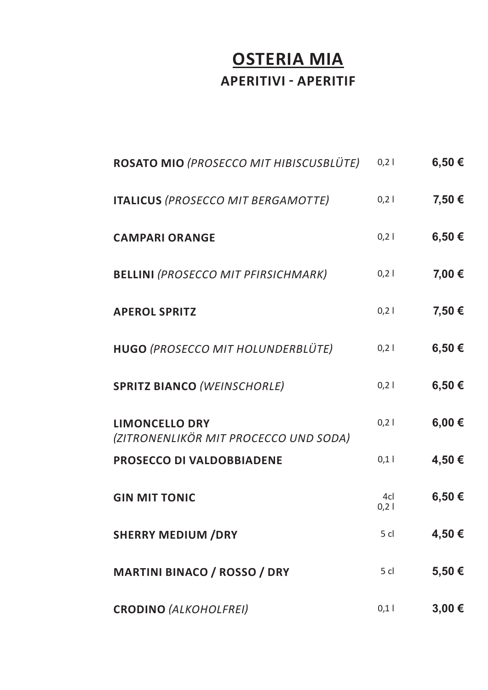## **OSTERIA MIA APERITIVI - APERITIF**

| ROSATO MIO (PROSECCO MIT HIBISCUSBLÜTE)                        | $0,2$       | 6,50€      |
|----------------------------------------------------------------|-------------|------------|
| <b>ITALICUS (PROSECCO MIT BERGAMOTTE)</b>                      | $0,2$       | 7,50 €     |
| <b>CAMPARI ORANGE</b>                                          | $0,2$       | 6,50€      |
| <b>BELLINI (PROSECCO MIT PFIRSICHMARK)</b>                     | $0,2$       | 7,00 €     |
| <b>APEROL SPRITZ</b>                                           | 0,21        | 7,50 €     |
| HUGO (PROSECCO MIT HOLUNDERBLÜTE)                              | 0,21        | 6,50€      |
| <b>SPRITZ BIANCO (WEINSCHORLE)</b>                             | 0,21        | 6,50€      |
| <b>LIMONCELLO DRY</b><br>(ZITRONENLIKÖR MIT PROCECCO UND SODA) | 0,21        | 6,00€      |
| PROSECCO DI VALDOBBIADENE                                      | 0,1         | 4,50€      |
| <b>GIN MIT TONIC</b>                                           | 4cl<br>0,21 | 6,50€      |
| <b>SHERRY MEDIUM /DRY</b>                                      | 5 cl        | 4,50€      |
| <b>MARTINI BINACO / ROSSO / DRY</b>                            | $5$ cl      | 5,50€      |
| <b>CRODINO (ALKOHOLFREI)</b>                                   | 0,1         | $3,00 \in$ |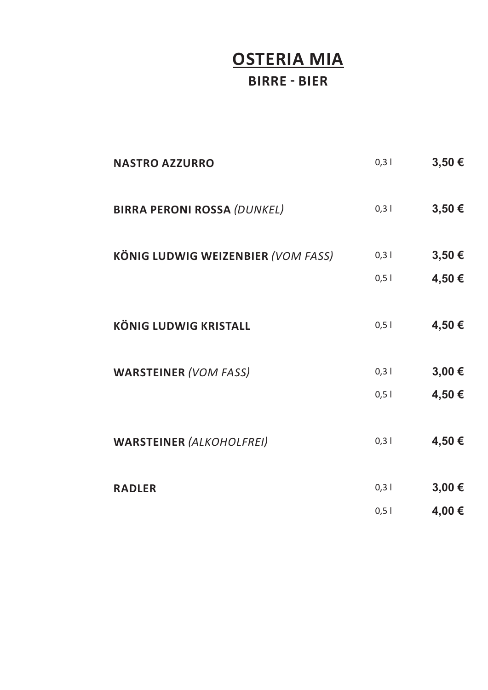## **OSTERIA MIA BIRRE - BIER**

| <b>NASTRO AZZURRO</b>                     | $0,3$ | 3,50 € |
|-------------------------------------------|-------|--------|
| <b>BIRRA PERONI ROSSA (DUNKEL)</b>        | 0,3   | 3,50€  |
| <b>KÖNIG LUDWIG WEIZENBIER (VOM FASS)</b> | 0,3   | 3,50 € |
|                                           | $0,5$ | 4,50 € |
| <b>KÖNIG LUDWIG KRISTALL</b>              | $0,5$ | 4,50€  |
| <b>WARSTEINER (VOM FASS)</b>              | 0,3   | 3,00 € |
|                                           | 0,5   | 4,50€  |
| <b>WARSTEINER (ALKOHOLFREI)</b>           | 0,3   | 4,50 € |
| <b>RADLER</b>                             | 0,3   | 3,00 € |
|                                           | $0,5$ | 4,00 € |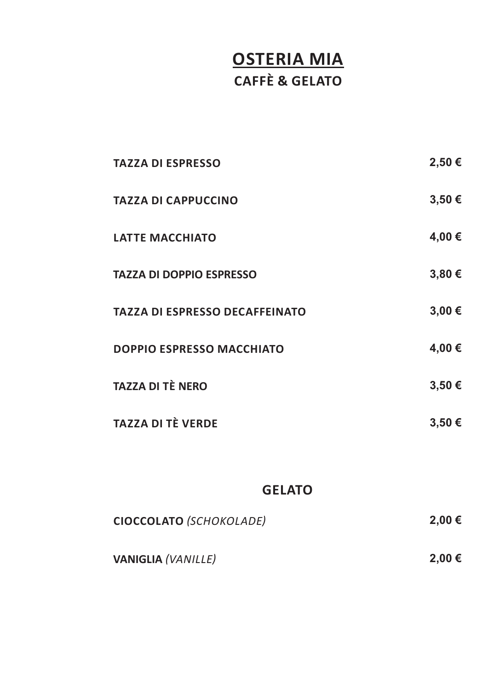# **OSTERIA MIA CAFFÈ & GELATO**

| <b>TAZZA DI ESPRESSO</b>              | 2,50€      |
|---------------------------------------|------------|
| <b>TAZZA DI CAPPUCCINO</b>            | 3,50€      |
| <b>LATTE MACCHIATO</b>                | 4,00 €     |
| <b>TAZZA DI DOPPIO ESPRESSO</b>       | $3,80 \in$ |
| <b>TAZZA DI ESPRESSO DECAFFEINATO</b> | 3,00€      |
| <b>DOPPIO ESPRESSO MACCHIATO</b>      | 4,00 €     |
| <b>TAZZA DI TÈ NERO</b>               | 3,50€      |
| <b>TAZZA DI TÈ VERDE</b>              | $3,50 \in$ |

#### **GELATO**

| CIOCCOLATO (SCHOKOLADE)   | 2,00 € |
|---------------------------|--------|
| <b>VANIGLIA (VANILLE)</b> | 2,00 € |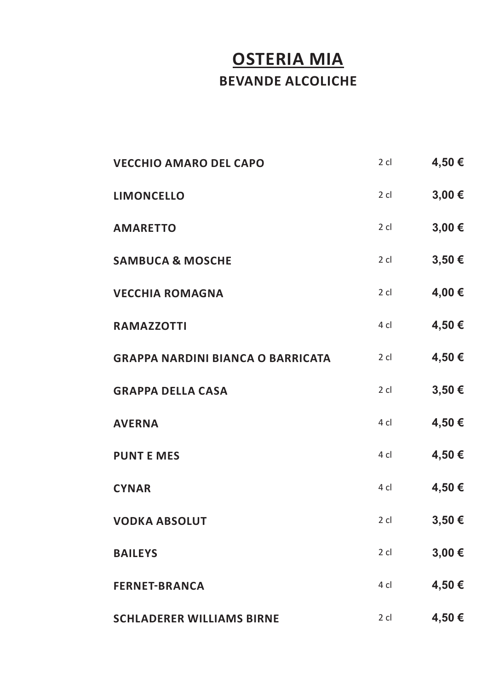# **OSTERIA MIA BEVANDE ALCOLICHE**

| <b>VECCHIO AMARO DEL CAPO</b>            | $2$ cl | 4,50€  |
|------------------------------------------|--------|--------|
| <b>LIMONCELLO</b>                        | $2$ cl | 3,00 € |
| <b>AMARETTO</b>                          | $2$ cl | 3,00 € |
| <b>SAMBUCA &amp; MOSCHE</b>              | $2$ cl | 3,50 € |
| <b>VECCHIA ROMAGNA</b>                   | $2$ cl | 4,00 € |
| <b>RAMAZZOTTI</b>                        | 4 cl   | 4,50€  |
| <b>GRAPPA NARDINI BIANCA O BARRICATA</b> | $2$ cl | 4,50€  |
| <b>GRAPPA DELLA CASA</b>                 | $2$ cl | 3,50€  |
| <b>AVERNA</b>                            | 4 cl   | 4,50€  |
| <b>PUNT E MES</b>                        | 4 cl   | 4,50€  |
| <b>CYNAR</b>                             | 4 cl   | 4,50€  |
| <b>VODKA ABSOLUT</b>                     | $2$ cl | 3,50 € |
| <b>BAILEYS</b>                           | $2$ cl | 3,00 € |
| <b>FERNET-BRANCA</b>                     | 4 cl   | 4,50€  |
| <b>SCHLADERER WILLIAMS BIRNE</b>         | $2$ cl | 4,50€  |